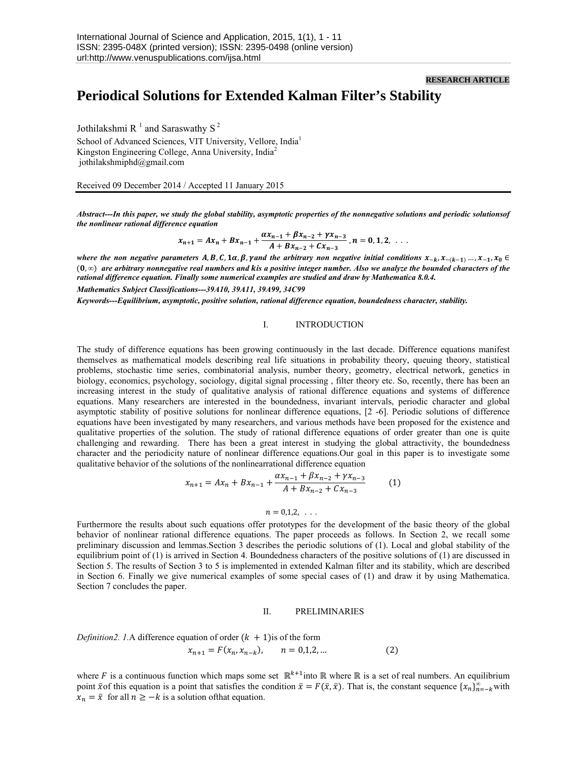### **RESEARCH ARTICLE**

# **Periodical Solutions for Extended Kalman Filter's Stability**

Jothilakshmi R<sup>1</sup> and Saraswathy S<sup>2</sup> School of Advanced Sciences, VIT University, Vellore, India<sup>1</sup> Kingston Engineering College, Anna University, India<sup>2</sup> jothilakshmiphd@gmail.com

Received 09 December 2014 / Accepted 11 January 2015

*Abstract---In this paper, we study the global stability, asymptotic properties of the nonnegative solutions and periodic solutionsof the nonlinear rational difference equation* 

$$
x_{n+1} = Ax_n + Bx_{n-1} + \frac{\alpha x_{n-1} + \beta x_{n-2} + \gamma x_{n-3}}{A + Bx_{n-2} + Cx_{n-3}}, n = 0, 1, 2, ...
$$

*where the non negative parameters A, B, C, 1* $\alpha$ *,*  $\beta$ *, yand the arbitrary non negative initial conditions*  $x_{-k}$ ,  $x_{-(k-1)}$ ,  $\ldots$ ,  $x_{-1}$ ,  $x_0$   $\in$ ሺ, *∞*ሻ *are arbitrary nonnegative real numbers and is a positive integer number. Also we analyze the bounded characters of the rational difference equation. Finally some numerical examples are studied and draw by Mathematica 8.0.4. Mathematics Subject Classifications---39A10, 39A11, 39A99, 34C99* 

*Keywords---Equilibrium, asymptotic, positive solution, rational difference equation, boundedness character, stability.* 

## I. INTRODUCTION

The study of difference equations has been growing continuously in the last decade. Difference equations manifest themselves as mathematical models describing real life situations in probability theory, queuing theory, statistical problems, stochastic time series, combinatorial analysis, number theory, geometry, electrical network, genetics in biology, economics, psychology, sociology, digital signal processing , filter theory etc. So, recently, there has been an increasing interest in the study of qualitative analysis of rational difference equations and systems of difference equations. Many researchers are interested in the boundedness, invariant intervals, periodic character and global asymptotic stability of positive solutions for nonlinear difference equations, [2 -6]. Periodic solutions of difference equations have been investigated by many researchers, and various methods have been proposed for the existence and qualitative properties of the solution. The study of rational difference equations of order greater than one is quite challenging and rewarding. There has been a great interest in studying the global attractivity, the boundedness character and the periodicity nature of nonlinear difference equations.Our goal in this paper is to investigate some qualitative behavior of the solutions of the nonlinearrational difference equation

$$
x_{n+1} = Ax_n + Bx_{n-1} + \frac{\alpha x_{n-1} + \beta x_{n-2} + \gamma x_{n-3}}{A + Bx_{n-2} + Cx_{n-3}}
$$
 (1)

# $n = 0.1, 2, \ldots$

Furthermore the results about such equations offer prototypes for the development of the basic theory of the global behavior of nonlinear rational difference equations. The paper proceeds as follows. In Section 2, we recall some preliminary discussion and lemmas.Section 3 describes the periodic solutions of (1). Local and global stability of the equilibrium point of (1) is arrived in Section 4. Boundedness characters of the positive solutions of (1) are discussed in Section 5. The results of Section 3 to 5 is implemented in extended Kalman filter and its stability, which are described in Section 6. Finally we give numerical examples of some special cases of (1) and draw it by using Mathematica. Section 7 concludes the paper.

#### II. PRELIMINARIES

*Definition2. 1.A* difference equation of order  $(k + 1)$  is of the form

$$
x_{n+1} = F(x_n, x_{n-k}), \qquad n = 0, 1, 2, \dots \tag{2}
$$

where F is a continuous function which maps some set  $\mathbb{R}^{k+1}$  into  $\mathbb R$  where  $\mathbb R$  is a set of real numbers. An equilibrium point  $\bar{x}$  of this equation is a point that satisfies the condition  $\bar{x} = F(\bar{x}, \bar{x})$ . That is, the constant sequence  $\{x_n\}_{n=-k}^{\infty}$  with  $x_n = \bar{x}$  for all  $n \geq -k$  is a solution of that equation.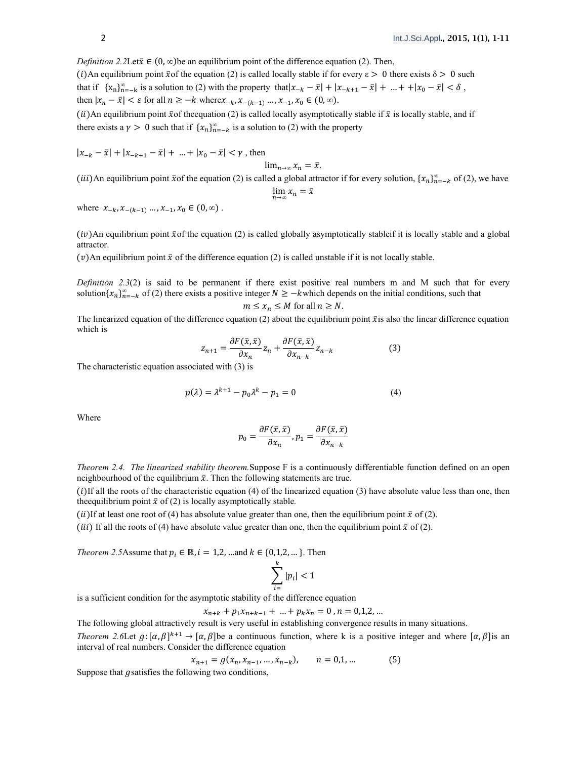*Definition 2.2Let* $\bar{x} \in (0, \infty)$  be an equilibrium point of the difference equation (2). Then,

(i) An equilibrium point  $\bar{x}$  of the equation (2) is called locally stable if for every  $\varepsilon > 0$  there exists  $\delta > 0$  such that if  ${x_n}_{n=-k}^{\infty}$  is a solution to (2) with the property that  $|x_{-k} - \bar{x}| + |x_{-k+1} - \bar{x}| + ... + |x_0 - \bar{x}| < \delta$ , then  $|x_n - \bar{x}| < \varepsilon$  for all  $n \geq -k$  where  $x_{-k}, x_{-(k-1)}, \dots, x_{-1}, x_0 \in (0, \infty)$ .

(ii) An equilibrium point  $\bar{x}$  of the equation (2) is called locally asymptotically stable if  $\bar{x}$  is locally stable, and if there exists a  $\gamma > 0$  such that if  $\{x_n\}_{n=-k}^{\infty}$  is a solution to (2) with the property

 $|x_{-k} - \bar{x}| + |x_{-k+1} - \bar{x}| + ... + |x_0 - \bar{x}| < \gamma$ , then

$$
\lim_{n\to\infty}x_n=\bar{x}.
$$

(*iii*)An equilibrium point  $\bar{x}$  of the equation (2) is called a global attractor if for every solution,  $\{x_n\}_{n=-k}^{\infty}$  of (2), we have

$$
\lim_{n\to\infty}x_n=\bar x
$$

where  $x_{-k}, x_{-(k-1)}, \dots, x_{-1}, x_0 \in (0, \infty)$ .

 $(iv)$ An equilibrium point  $\bar{x}$  of the equation (2) is called globally asymptotically stableif it is locally stable and a global attractor.

 $(v)$ An equilibrium point  $\bar{x}$  of the difference equation (2) is called unstable if it is not locally stable.

*Definition 2.3(2)* is said to be permanent if there exist positive real numbers m and M such that for every solution $\{x_n\}_{n=-k}^{\infty}$  of (2) there exists a positive integer  $N \ge -k$ which depends on the initial conditions, such that

$$
m \le x_n \le M \text{ for all } n \ge N.
$$

The linearized equation of the difference equation (2) about the equilibrium point  $\bar{x}$  is also the linear difference equation which is

$$
z_{n+1} = \frac{\partial F(\bar{x}, \bar{x})}{\partial x_n} z_n + \frac{\partial F(\bar{x}, \bar{x})}{\partial x_{n-k}} z_{n-k}
$$
(3)

The characteristic equation associated with (3) is

$$
p(\lambda) = \lambda^{k+1} - p_0 \lambda^k - p_1 = 0 \tag{4}
$$

Where

$$
p_0 = \frac{\partial F(\bar{x}, \bar{x})}{\partial x_n}, p_1 = \frac{\partial F(\bar{x}, \bar{x})}{\partial x_{n-k}}
$$

*Theorem 2.4. The linearized stability theorem.*Suppose F is a continuously differentiable function defined on an open neighbourhood of the equilibrium  $\bar{x}$ . Then the following statements are true.

 $(i)$ If all the roots of the characteristic equation (4) of the linearized equation (3) have absolute value less than one, then the equilibrium point  $\bar{x}$  of (2) is locally asymptotically stable.

(*ii*)If at least one root of (4) has absolute value greater than one, then the equilibrium point  $\bar{x}$  of (2).

(*iii*) If all the roots of (4) have absolute value greater than one, then the equilibrium point  $\bar{x}$  of (2).

*Theorem 2.5*Assume that  $p_i \in \mathbb{R}$ ,  $i = 1, 2, ...$  and  $k \in \{0, 1, 2, ... \}$ . Then

$$
\sum_{i=}^k |p_i| < 1
$$

is a sufficient condition for the asymptotic stability of the difference equation

$$
x_{n+k} + p_1 x_{n+k-1} + \dots + p_k x_n = 0, n = 0,1,2,...
$$

The following global attractively result is very useful in establishing convergence results in many situations.

*Theorem 2.6*Let  $g: [\alpha, \beta]^{k+1} \to [\alpha, \beta]$  be a continuous function, where k is a positive integer and where  $[\alpha, \beta]$  is an interval of real numbers. Consider the difference equation

$$
x_{n+1} = g(x_n, x_{n-1}, \dots, x_{n-k}), \qquad n = 0, 1, \dots \tag{5}
$$

Suppose that *g* satisfies the following two conditions,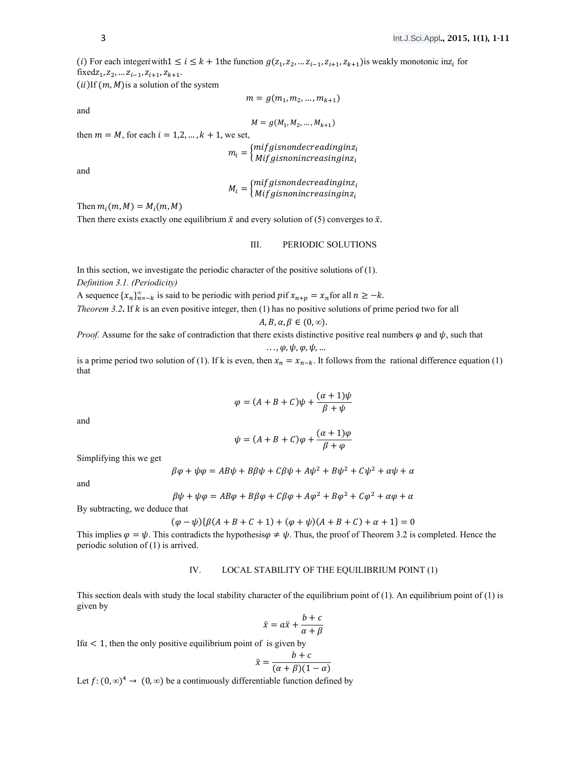(i) For each integeriwith  $1 \le i \le k + 1$ the function  $g(z_1, z_2, ..., z_{i-1}, z_{i+1}, z_{k+1})$  is weakly monotonic in $z_i$  for fixed $z_1, z_2, \ldots z_{i-1}, z_{i+1}, z_{k+1}.$ 

 $(ii)$ If  $(m, M)$  is a solution of the system

 $m = g(m_1, m_2, ..., m_{k+1})$ 

and

$$
M = g(M_1, M_2, \ldots, M_{k+1})
$$

then  $m = M$ , for each  $i = 1,2, ..., k + 1$ , we set,

 $m_i = \left\{\begin{matrix} mifgisnondecreading inz_i\ Mifgisnonincreasing inz_i \end{matrix}\right.$ 

and

$$
M_i = \begin{cases} mif g is nondecreading in z_i \\ Mif g is nonincreasing in z_i \end{cases}
$$

Then  $m_i(m, M) = M_i(m, M)$ 

Then there exists exactly one equilibrium  $\bar{x}$  and every solution of (5) converges to  $\bar{x}$ .

# III. PERIODIC SOLUTIONS

In this section, we investigate the periodic character of the positive solutions of (1). *Definition 3.1. (Periodicity)* 

A sequence  $\{x_n\}_{n=-k}^{\infty}$  is said to be periodic with period pif  $x_{n+p} = x_n$  for all  $n \geq -k$ .

*Theorem 3.2***.** If  $k$  is an even positive integer, then (1) has no positive solutions of prime period two for all

$$
A, B, \alpha, \beta \in (0, \infty).
$$

*Proof.* Assume for the sake of contradiction that there exists distinctive positive real numbers  $\varphi$  and  $\psi$ , such that

$$
\ldots, \varphi, \psi, \varphi, \psi, \ldots
$$

is a prime period two solution of (1). If k is even, then  $x_n = x_{n-k}$ . It follows from the rational difference equation (1) that

$$
\varphi = (A + B + C)\psi + \frac{(\alpha + 1)\psi}{\beta + \psi}
$$

and

$$
\psi = (A + B + C)\varphi + \frac{(\alpha + 1)\varphi}{\beta + \varphi}
$$

Simplifying this we get

$$
\beta\varphi + \psi\varphi = AB\psi + B\beta\psi + C\beta\psi + A\psi^2 + B\psi^2 + C\psi^2 + \alpha\psi + \alpha
$$

and

$$
\beta\psi + \psi\varphi = AB\varphi + B\beta\varphi + C\beta\varphi + A\varphi^{2} + B\varphi^{2} + C\varphi^{2} + \alpha\varphi + \alpha
$$

By subtracting, we deduce that

$$
(\varphi - \psi)\{\beta(A + B + C + 1) + (\varphi + \psi)(A + B + C) + \alpha + 1\} = 0
$$

This implies  $\varphi = \psi$ . This contradicts the hypothesis $\varphi \neq \psi$ . Thus, the proof of Theorem 3.2 is completed. Hence the periodic solution of (1) is arrived.

# IV. LOCAL STABILITY OF THE EQUILIBRIUM POINT (1)

This section deals with study the local stability character of the equilibrium point of  $(1)$ . An equilibrium point of  $(1)$  is given by

$$
\bar{x} = a\bar{x} + \frac{b+c}{\alpha+\beta}
$$

If  $a < 1$ , then the only positive equilibrium point of is given by

$$
\bar{x} = \frac{b+c}{(\alpha+\beta)(1-\alpha)}
$$

Let  $f: (0, \infty)^4 \to (0, \infty)$  be a continuously differentiable function defined by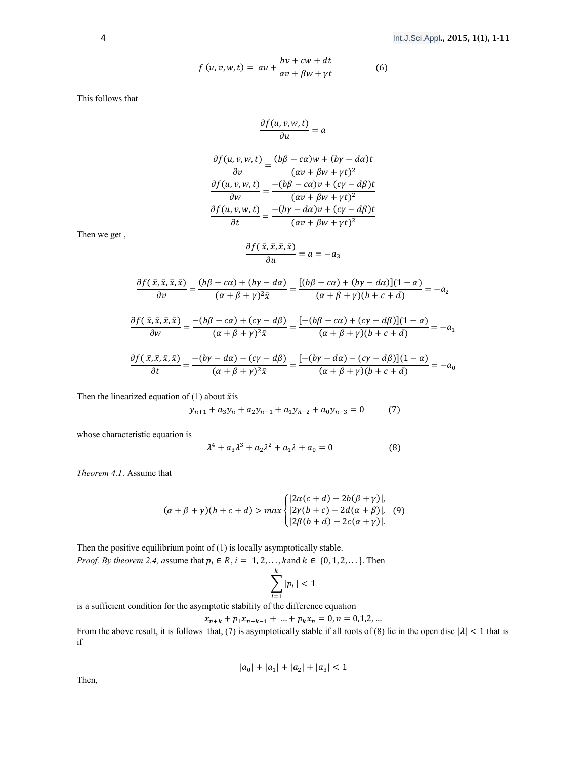$$
f(u, v, w, t) = \alpha u + \frac{bv + cw + dt}{\alpha v + \beta w + \gamma t}
$$
 (6)

This follows that

$$
\frac{\partial f(u,v,w,t)}{\partial u}=a
$$

$$
\frac{\partial f(u, v, w, t)}{\partial v} = \frac{(b\beta - c\alpha)w + (b\gamma - d\alpha)t}{(\alpha v + \beta w + \gamma t)^2}
$$

$$
\frac{\partial f(u, v, w, t)}{\partial w} = \frac{-(b\beta - c\alpha)v + (c\gamma - d\beta)t}{(\alpha v + \beta w + \gamma t)^2}
$$

$$
\frac{\partial f(u, v, w, t)}{\partial t} = \frac{-(b\gamma - d\alpha)v + (c\gamma - d\beta)t}{(\alpha v + \beta w + \gamma t)^2}
$$

Then we get ,

$$
\frac{\partial f(\bar{x},\bar{x},\bar{x},\bar{x})}{\partial u} = a = -a_3
$$

$$
\frac{\partial f(\bar{x}, \bar{x}, \bar{x}, \bar{x})}{\partial v} = \frac{(b\beta - c\alpha) + (b\gamma - d\alpha)}{(\alpha + \beta + \gamma)^2 \bar{x}} = \frac{[(b\beta - c\alpha) + (b\gamma - d\alpha)](1 - \alpha)}{(\alpha + \beta + \gamma)(b + c + d)} = -a_2
$$

$$
\frac{\partial f(\bar{x}, \bar{x}, \bar{x}, \bar{x})}{\partial w} = \frac{-(b\beta - c\alpha) + (c\gamma - d\beta)}{(\alpha + \beta + \gamma)^2 \bar{x}} = \frac{[-(b\beta - c\alpha) + (c\gamma - d\beta)](1 - \alpha)}{(\alpha + \beta + \gamma)(b + c + d)} = -a_1
$$

$$
\frac{\partial f(\bar{x}, \bar{x}, \bar{x}, \bar{x})}{\partial t} = \frac{-(b\gamma - d\alpha) - (c\gamma - d\beta)}{(\alpha + \beta + \gamma)^2 \bar{x}} = \frac{[-(b\gamma - d\alpha) - (c\gamma - d\beta)](1 - \alpha)}{(\alpha + \beta + \gamma)(b + c + d)} = -a_0
$$

Then the linearized equation of (1) about  $\bar{x}$  is

$$
y_{n+1} + a_3 y_n + a_2 y_{n-1} + a_1 y_{n-2} + a_0 y_{n-3} = 0 \tag{7}
$$

whose characteristic equation is

$$
\lambda^4 + a_3 \lambda^3 + a_2 \lambda^2 + a_1 \lambda + a_0 = 0 \tag{8}
$$

*Theorem 4.1*. Assume that

$$
(\alpha + \beta + \gamma)(b + c + d) > \max \begin{cases} |2\alpha(c + d) - 2b(\beta + \gamma)|, \\ |2\gamma(b + c) - 2d(\alpha + \beta)|, \\ |2\beta(b + d) - 2c(\alpha + \gamma)|. \end{cases} (9)
$$

Then the positive equilibrium point of (1) is locally asymptotically stable. *Proof. By theorem 2.4, assume that*  $p_i \in R$ ,  $i = 1, 2, \ldots$ , kand  $k \in \{0, 1, 2, \ldots\}$ . Then

$$
\sum_{i=1}^k |p_i| < 1
$$

is a sufficient condition for the asymptotic stability of the difference equation

$$
x_{n+k} + p_1 x_{n+k-1} + \dots + p_k x_n = 0, n = 0, 1, 2, \dots
$$

From the above result, it is follows that, (7) is asymptotically stable if all roots of (8) lie in the open disc  $|\lambda|$  < 1 that is if

$$
|a_0| + |a_1| + |a_2| + |a_3| < 1
$$

Then,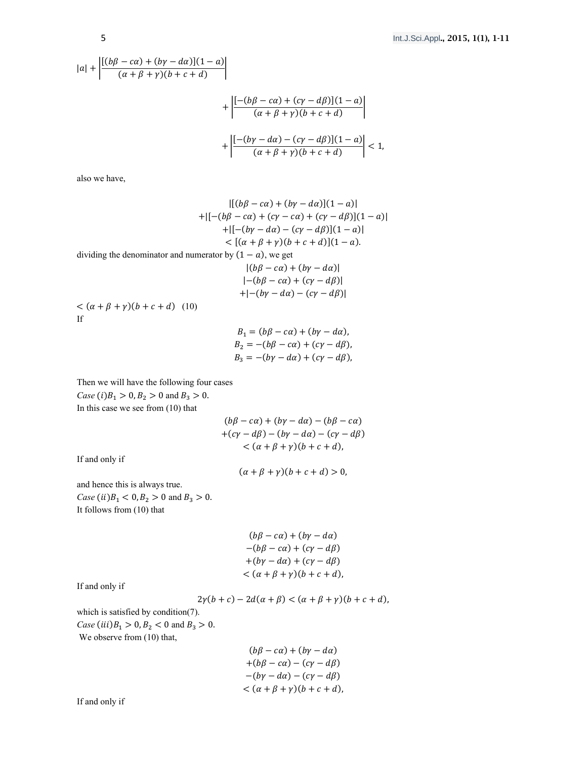$$
|a| + \left| \frac{\left[ (b\beta - c\alpha) + (b\gamma - d\alpha) \right] (1 - a)}{(\alpha + \beta + \gamma)(b + c + d)} \right|
$$
  
+ 
$$
\left| \frac{\left[ -(b\beta - c\alpha) + (c\gamma - d\beta) \right] (1 - a)}{(\alpha + \beta + \gamma)(b + c + d)} \right|
$$
  
+ 
$$
\left| \frac{\left[ -(b\gamma - d\alpha) - (c\gamma - d\beta) \right] (1 - a)}{(\alpha + \beta + \gamma)(b + c + d)} \right| < 1,
$$

also we have,

If

$$
|[(b\beta - c\alpha) + (b\gamma - d\alpha)](1 - \alpha)|
$$
  
+ 
$$
+ [[-(b\beta - c\alpha) + (c\gamma - c\alpha) + (c\gamma - d\beta)](1 - \alpha)]
$$
  
+ 
$$
+ [[-(b\gamma - d\alpha) - (c\gamma - d\beta)](1 - \alpha)]
$$
  

$$
< [(\alpha + \beta + \gamma)(b + c + d)][(1 - \alpha)].
$$
  
dividing the denominator and numerator by  $(1 - \alpha)$ , we get  

$$
|(b\beta - c\alpha) + (b\gamma - d\alpha)|
$$
  

$$
|- (b\beta - c\alpha) + (c\gamma - d\beta)|
$$
  
+ 
$$
|- (b\gamma - d\alpha) - (c\gamma - d\beta)|
$$
  
If  

$$
B_1 = (b\beta - c\alpha) + (b\gamma - d\alpha).
$$

 $B_1 = (b\beta - c\alpha) + (b\gamma - d\alpha),$  $B_2 = -(b\beta - c\alpha) + (c\gamma - d\beta),$  $B_3 = -(b\gamma - d\alpha) + (c\gamma - d\beta),$ 

Then we will have the following four cases *Case* (*i*) $B_1 > 0, B_2 > 0$  and  $B_3 > 0$ . In this case we see from (10) that

$$
(b\beta - c\alpha) + (b\gamma - d\alpha) - (b\beta - c\alpha)
$$
  
+
$$
(c\gamma - d\beta) - (b\gamma - d\alpha) - (c\gamma - d\beta)
$$
  

$$
< (\alpha + \beta + \gamma)(b + c + d),
$$

If and only if

 $(\alpha + \beta + \gamma)(b + c + d) > 0,$ 

and hence this is always true.

*Case* (*ii*) $B_1 < 0, B_2 > 0$  and  $B_3 > 0$ . It follows from (10) that

| $(b\beta - c\alpha) + (b\gamma - d\alpha)$  |
|---------------------------------------------|
| $-(b\beta - c\alpha) + (c\gamma - d\beta)$  |
| $+(b\gamma - d\alpha) + (c\gamma - d\beta)$ |
| $< (\alpha + \beta + \gamma)(b + c + d),$   |

If and only if

 $2\gamma(b+c) - 2d(\alpha + \beta) < (\alpha + \beta + \gamma)(b+c+d)$ ,

which is satisfied by condition(7). *Case* (*iii*) $B_1 > 0, B_2 < 0$  and  $B_3 > 0$ . We observe from  $(10)$  that,

| $(b\beta - c\alpha) + (b\gamma - d\alpha)$  |
|---------------------------------------------|
| $+(b\beta - c\alpha) - (c\gamma - d\beta)$  |
| $-(b\gamma - d\alpha) - (c\gamma - d\beta)$ |
| $< (\alpha + \beta + \gamma)(b + c + d),$   |

If and only if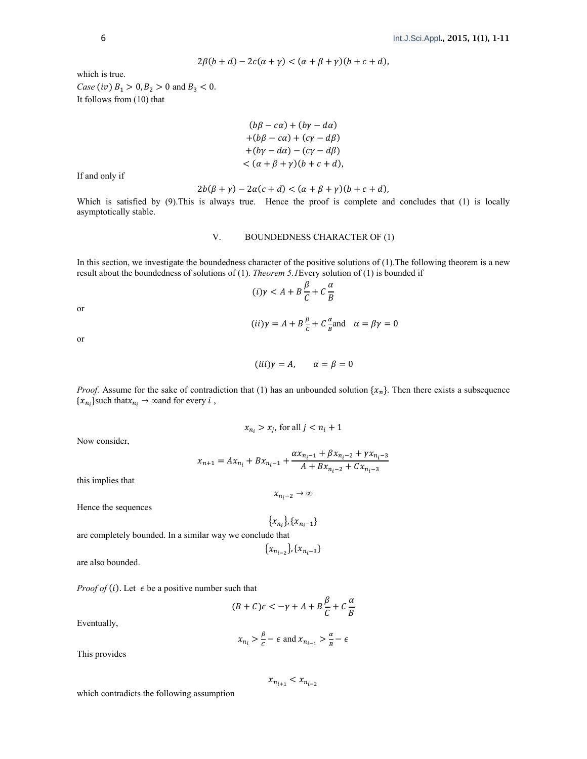$$
2\beta(b+d) - 2c(\alpha + \gamma) < (\alpha + \beta + \gamma)(b + c + d),
$$

which is true. *Case (iv)*  $B_1 > 0, B_2 > 0$  and  $B_3 < 0$ .

It follows from (10) that

 $(b\beta - c\alpha) + (b\gamma - d\alpha)$  $+(b\beta - c\alpha) + (c\gamma - d\beta)$  $+(by - d\alpha) - (c\gamma - d\beta)$  $< (\alpha + \beta + \gamma)(b + c + d),$ 

If and only if

$$
2b(\beta + \gamma) - 2\alpha(c + d) < (\alpha + \beta + \gamma)(b + c + d),
$$

Which is satisfied by (9). This is always true. Hence the proof is complete and concludes that (1) is locally asymptotically stable.

## V. BOUNDEDNESS CHARACTER OF (1)

In this section, we investigate the boundedness character of the positive solutions of (1).The following theorem is a new result about the boundedness of solutions of (1). *Theorem 5.1*Every solution of (1) is bounded if

$$
(i)\gamma < A + B\frac{\beta}{C} + C\frac{\alpha}{B}
$$

or

$$
(ii)\gamma = A + B\frac{\beta}{c} + C\frac{\alpha}{B}
$$
 and  $\alpha = \beta\gamma = 0$ 

or

$$
(iii)\gamma = A, \qquad \alpha = \beta = 0
$$

*Proof.* Assume for the sake of contradiction that (1) has an unbounded solution  $\{x_n\}$ . Then there exists a subsequence  $\{x_{n_i}\}$ such that $x_{n_i} \to \infty$  and for every  $i$ ,

$$
x_{n_i} > x_j \text{, for all } j < n_i + 1
$$

Now consider,

$$
x_{n+1} = Ax_{n_i} + Bx_{n_i-1} + \frac{\alpha x_{n_i-1} + \beta x_{n_i-2} + \gamma x_{n_i-3}}{A + Bx_{n_i-2} + Cx_{n_i-3}}
$$

this implies that

 $x_n \to \infty$ 

Hence the sequences

 $\{x_{n_i}\}, \{x_{n_i-1}\}\$ 

are completely bounded. In a similar way we conclude that  $\{x_{n_{i-2}}\}, \{x_{n_{i-3}}\}$ 

are also bounded.

*Proof of (i)*. Let  $\epsilon$  be a positive number such that

 $(B+C)\epsilon < -\gamma + A + B\frac{\beta}{C} + C$  $\alpha$ ܤ

Eventually,

$$
x_{n_i} > \frac{\beta}{c} - \epsilon \text{ and } x_{n_{i-1}} > \frac{\alpha}{B} - \epsilon
$$

This provides

 $x_{n_{i+1}} < x_{n_{i-2}}$ 

which contradicts the following assumption

$$
m_{i-2}
$$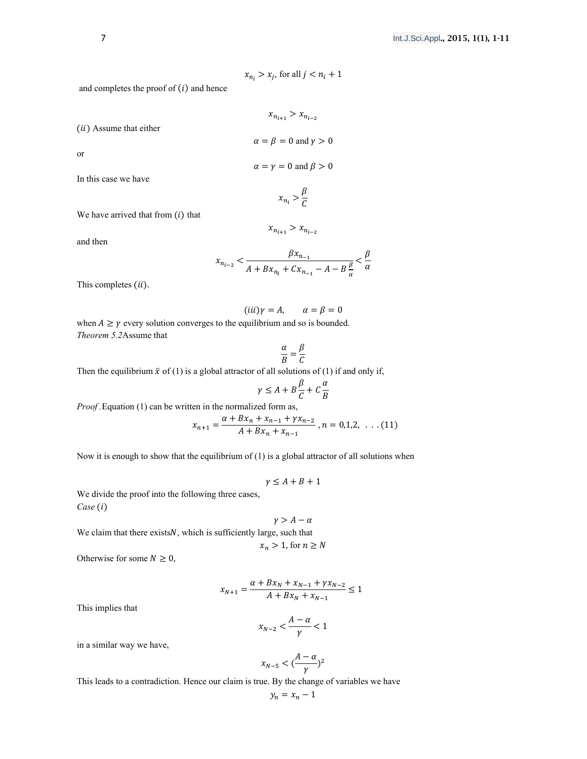$$
x_{n_i} > x_j \text{ for all } j < n_i + 1
$$

 $\mathbf{v} \sim \mathbf{v}$ 

and completes the proof of  $(i)$  and hence

$$
x_{n_{i+1}} > x_{n_{i-2}}
$$
  
\n
$$
\alpha = \beta = 0 \text{ and } \gamma > 0
$$
  
\n
$$
\alpha = \gamma = 0 \text{ and } \beta > 0
$$
  
\n
$$
x_{n_i} > \frac{\beta}{C}
$$

We have arrived that from  $(i)$  that

and then

or

$$
x_{n_{i-2}} < \frac{\beta x_{n_{-1}}}{A + Bx_{n_i} + Cx_{n_{-1}} - A - B\frac{\beta}{\alpha}} < \frac{\beta}{\alpha}
$$

 $x_{n_{i+1}} > x_{n_{i-2}}$ 

This completes (ii).

$$
(iii)\gamma = A, \qquad \alpha = \beta = 0
$$

when  $A \ge \gamma$  every solution converges to the equilibrium and so is bounded. *Theorem 5.2*Assume that

$$
\frac{\alpha}{B} = \frac{\beta}{C}
$$

Then the equilibrium  $\bar{x}$  of (1) is a global attractor of all solutions of (1) if and only if,

$$
\gamma \le A + B\frac{\beta}{C} + C\frac{\alpha}{B}
$$

*Proof .*Equation (1) can be written in the normalized form as,

$$
x_{n+1} = \frac{\alpha + Bx_n + x_{n-1} + \gamma x_{n-2}}{A + Bx_n + x_{n-1}}, n = 0, 1, 2, \ldots (11)
$$

Now it is enough to show that the equilibrium of  $(1)$  is a global attractor of all solutions when

$$
\gamma \le A + B + 1
$$

We divide the proof into the following three cases,  $Case (i)$ 

$$
\gamma > A - \alpha
$$

We claim that there exists N, which is sufficiently large, such that  $x_n > 1$ , for  $n \geq N$ 

Otherwise for some  $N \geq 0$ ,

$$
x_{N+1} = \frac{\alpha + Bx_N + x_{N-1} + \gamma x_{N-2}}{A + Bx_N + x_{N-1}} \le 1
$$

This implies that

$$
x_{N-2} < \frac{A-\alpha}{\gamma} < 1
$$

in a similar way we have,

$$
x_{N-5} < \left(\frac{A-\alpha}{\gamma}\right)^2
$$

This leads to a contradiction. Hence our claim is true. By the change of variables we have

$$
y_n = x_n - 1
$$

 $(ii)$  Assume that either

In this case we have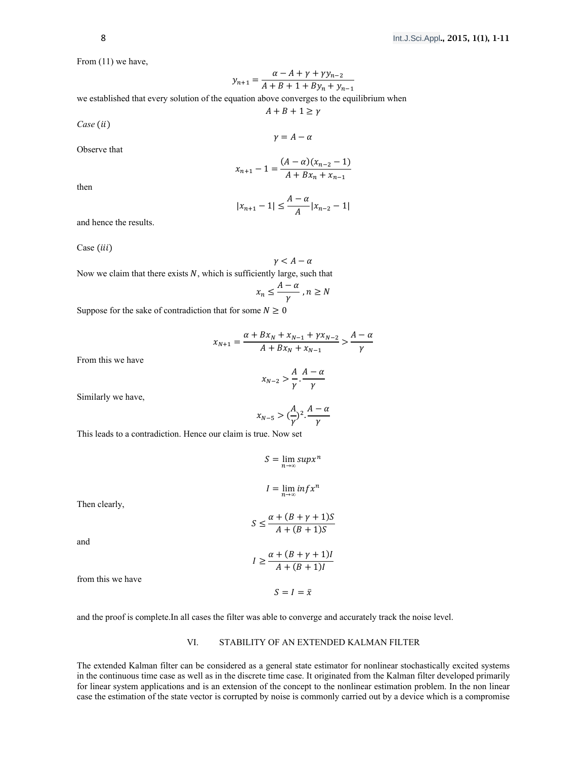From (11) we have,

$$
y_{n+1} = \frac{\alpha - A + \gamma + \gamma y_{n-2}}{A + B + 1 + By_n + y_{n-1}}
$$

we established that every solution of the equation above converges to the equilibrium when

$$
A + B + 1 \ge \gamma
$$

 $\gamma = A - \alpha$ 

 $Case (ii)$ 

Observe that

$$
x_{n+1} - 1 = \frac{(A - \alpha)(x_{n-2} - 1)}{A + Bx_n + x_{n-1}}
$$

then

$$
|x_{n+1} - 1| \le \frac{A - \alpha}{A} |x_{n-2} - 1|
$$

and hence the results.

Case (iii)

$$
\gamma < A - \alpha
$$

Now we claim that there exists  $N$ , which is sufficiently large, such that

$$
x_n \le \frac{A - \alpha}{\gamma}, n \ge N
$$

Suppose for the sake of contradiction that for some  $N \geq 0$ 

$$
x_{N+1} = \frac{\alpha + Bx_N + x_{N-1} + \gamma x_{N-2}}{A + Bx_N + x_{N-1}} > \frac{A - \alpha}{\gamma}
$$

$$
x_{N-2} > \frac{A}{\gamma} \cdot \frac{A - \alpha}{\gamma}
$$

Similarly we have,

From this we have

$$
x_{N-5} > (\frac{A}{\gamma})^2 \cdot \frac{A - \alpha}{\gamma}
$$

This leads to a contradiction. Hence our claim is true. Now set

$$
S = \lim_{n \to \infty} \sup x^n
$$

$$
I = \lim_{n \to \infty} \inf x^n
$$

Then clearly,

$$
S \le \frac{\alpha + (B + \gamma + 1)S}{A + (B + 1)S}
$$

 $I \geq \frac{\alpha + (B + \gamma + 1)I}{4 + (B + 1)I}$  $A + (B + 1)I$ 

 $S = I = \bar{x}$ 

and

from this we have

and the proof is complete.In all cases the filter was able to converge and accurately track the noise level.

# VI. STABILITY OF AN EXTENDED KALMAN FILTER

The extended Kalman filter can be considered as a general state estimator for nonlinear stochastically excited systems in the continuous time case as well as in the discrete time case. It originated from the Kalman filter developed primarily for linear system applications and is an extension of the concept to the nonlinear estimation problem. In the non linear case the estimation of the state vector is corrupted by noise is commonly carried out by a device which is a compromise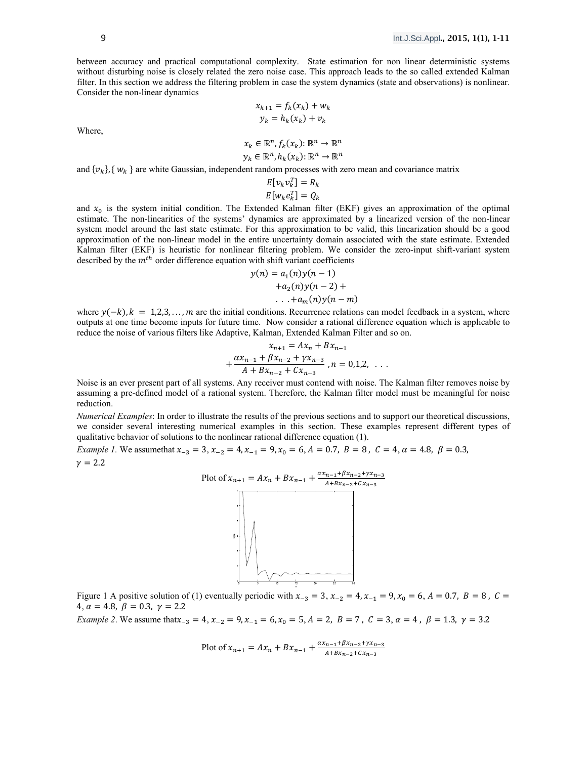between accuracy and practical computational complexity. State estimation for non linear deterministic systems without disturbing noise is closely related the zero noise case. This approach leads to the so called extended Kalman filter. In this section we address the filtering problem in case the system dynamics (state and observations) is nonlinear. Consider the non-linear dynamics

$$
x_{k+1} = f_k(x_k) + w_k
$$
  

$$
y_k = h_k(x_k) + v_k
$$

Where,

$$
x_k \in \mathbb{R}^n, f_k(x_k) \colon \mathbb{R}^n \to \mathbb{R}^n
$$

$$
y_k \in \mathbb{R}^n, h_k(x_k) \colon \mathbb{R}^n \to \mathbb{R}^n
$$

and  $\{v_k\}$ ,  $\{w_k\}$  are white Gaussian, independent random processes with zero mean and covariance matrix

$$
E[v_k v_k^T] = R_k
$$
  

$$
E[w_k e_k^T] = Q_k
$$

and  $x_0$  is the system initial condition. The Extended Kalman filter (EKF) gives an approximation of the optimal estimate. The non-linearities of the systems' dynamics are approximated by a linearized version of the non-linear system model around the last state estimate. For this approximation to be valid, this linearization should be a good approximation of the non-linear model in the entire uncertainty domain associated with the state estimate. Extended Kalman filter (EKF) is heuristic for nonlinear filtering problem. We consider the zero-input shift-variant system described by the  $m<sup>th</sup>$  order difference equation with shift variant coefficients

$$
y(n) = a_1(n)y(n-1)
$$
  
+
$$
a_2(n)y(n-2) +
$$
  
...+
$$
a_m(n)y(n-m)
$$

where  $y(-k)$ ,  $k = 1,2,3,...,m$  are the initial conditions. Recurrence relations can model feedback in a system, where outputs at one time become inputs for future time. Now consider a rational difference equation which is applicable to reduce the noise of various filters like Adaptive, Kalman, Extended Kalman Filter and so on.

$$
x_{n+1} = Ax_n + Bx_{n-1}
$$
  
+ 
$$
\frac{\alpha x_{n-1} + \beta x_{n-2} + \gamma x_{n-3}}{A + Bx_{n-2} + Cx_{n-3}}, n = 0, 1, 2, ...
$$

Noise is an ever present part of all systems. Any receiver must contend with noise. The Kalman filter removes noise by assuming a pre-defined model of a rational system. Therefore, the Kalman filter model must be meaningful for noise reduction.

*Numerical Examples*: In order to illustrate the results of the previous sections and to support our theoretical discussions, we consider several interesting numerical examples in this section. These examples represent different types of qualitative behavior of solutions to the nonlinear rational difference equation (1).

*Example 1.* We assume that  $x_{-3} = 3$ ,  $x_{-2} = 4$ ,  $x_{-1} = 9$ ,  $x_0 = 6$ ,  $A = 0.7$ ,  $B = 8$ ,  $C = 4$ ,  $\alpha = 4.8$ ,  $\beta = 0.3$ ,  $\gamma = 2.2$ 



Figure 1 A positive solution of (1) eventually periodic with  $x_{-3} = 3$ ,  $x_{-2} = 4$ ,  $x_{-1} = 9$ ,  $x_0 = 6$ ,  $A = 0.7$ ,  $B = 8$ ,  $C =$ 4,  $\alpha = 4.8$ ,  $\beta = 0.3$ ,  $\gamma = 2.2$ 

*Example 2*. We assume that  $x_{-3} = 4$ ,  $x_{-2} = 9$ ,  $x_{-1} = 6$ ,  $x_0 = 5$ ,  $A = 2$ ,  $B = 7$ ,  $C = 3$ ,  $\alpha = 4$ ,  $\beta = 1.3$ ,  $\gamma = 3.2$ 

Plot of 
$$
x_{n+1} = Ax_n + Bx_{n-1} + \frac{\alpha x_{n-1} + \beta x_{n-2} + \gamma x_{n-3}}{A + Bx_{n-2} + Cx_{n-3}}
$$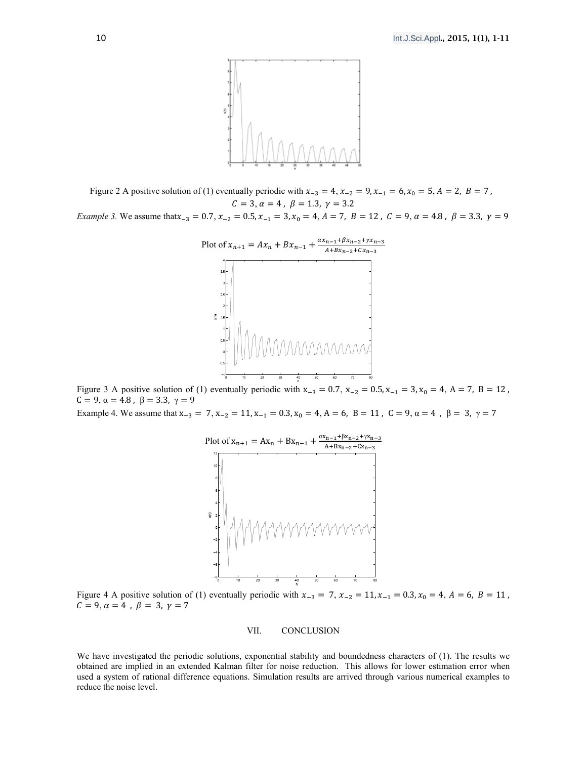

Figure 2 A positive solution of (1) eventually periodic with  $x_{-3} = 4$ ,  $x_{-2} = 9$ ,  $x_{-1} = 6$ ,  $x_0 = 5$ ,  $A = 2$ ,  $B = 7$ ,  $C = 3, \alpha = 4, \beta = 1.3, \gamma = 3.2$ *Example 3.* We assume that  $x_{-3} = 0.7$ ,  $x_{-2} = 0.5$ ,  $x_{-1} = 3$ ,  $x_0 = 4$ ,  $A = 7$ ,  $B = 12$ ,  $C = 9$ ,  $\alpha = 4.8$ ,  $\beta = 3.3$ ,  $\gamma = 9$ 



Figure 3 A positive solution of (1) eventually periodic with  $x_{-3} = 0.7$ ,  $x_{-2} = 0.5$ ,  $x_{-1} = 3$ ,  $x_0 = 4$ , A = 7, B = 12,  $C = 9, \alpha = 4.8, \beta = 3.3, \gamma = 9$ 

Example 4. We assume that  $x_{-3} = 7$ ,  $x_{-2} = 11$ ,  $x_{-1} = 0.3$ ,  $x_0 = 4$ ,  $A = 6$ ,  $B = 11$ ,  $C = 9$ ,  $\alpha = 4$ ,  $\beta = 3$ ,  $\gamma = 7$ 



Figure 4 A positive solution of (1) eventually periodic with  $x_{-3} = 7$ ,  $x_{-2} = 11$ ,  $x_{-1} = 0.3$ ,  $x_0 = 4$ ,  $A = 6$ ,  $B = 11$ ,  $C = 9, \alpha = 4, \beta = 3, \gamma = 7$ 

## VII. CONCLUSION

We have investigated the periodic solutions, exponential stability and boundedness characters of (1). The results we obtained are implied in an extended Kalman filter for noise reduction. This allows for lower estimation error when used a system of rational difference equations. Simulation results are arrived through various numerical examples to reduce the noise level.